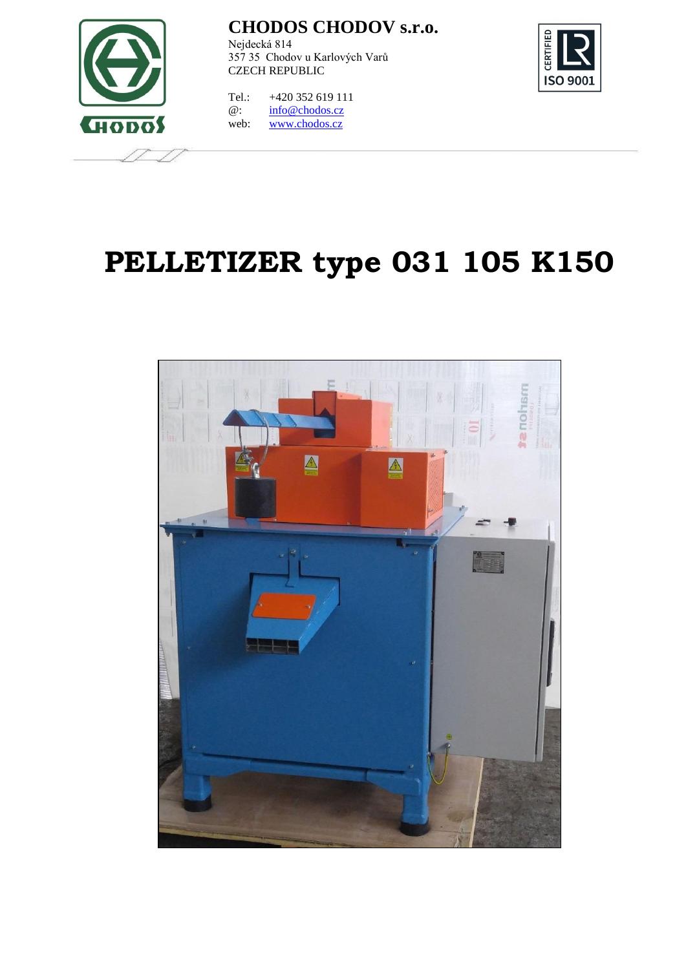

Nejdecká 814 357 35 Chodov u Karlových Varů CZECH REPUBLIC

Tel.: +420 352 619 111 @: [info@chodos.cz](mailto:info@chodos.cz) web: [www.chodos.cz](http://www.chodos.cz/)



# **PELLETIZER type 031 105 K150**

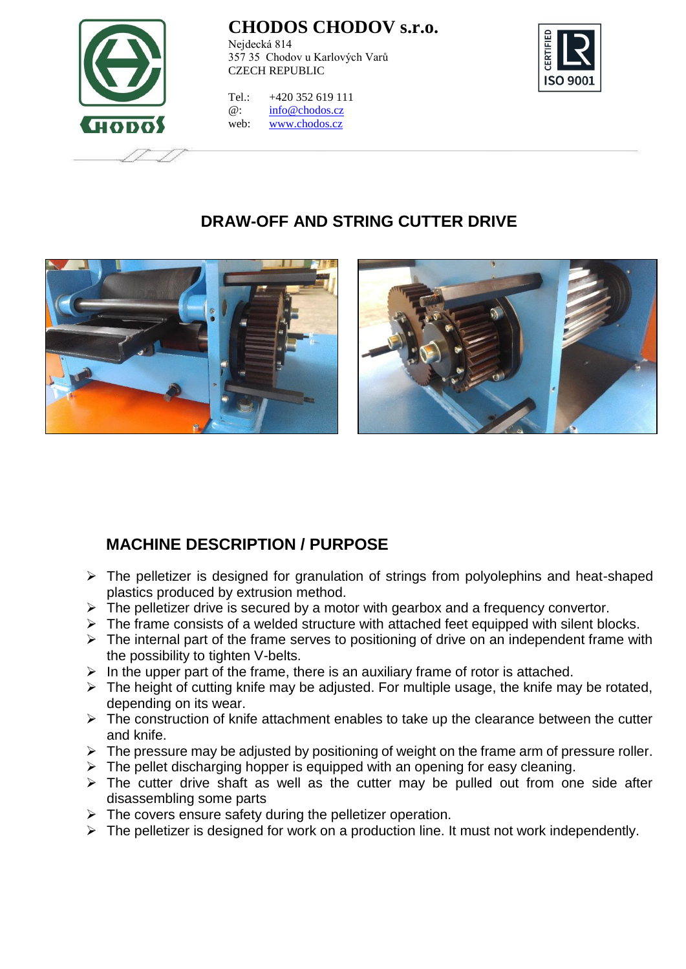

Nejdecká 814 357 35 Chodov u Karlových Varů CZECH REPUBLIC

Tel.: +420 352 619 111 @: [info@chodos.cz](mailto:info@chodos.cz) web: [www.chodos.cz](http://www.chodos.cz/)



## **DRAW-OFF AND STRING CUTTER DRIVE**



## **MACHINE DESCRIPTION / PURPOSE**

- $\triangleright$  The pelletizer is designed for granulation of strings from polyolephins and heat-shaped plastics produced by extrusion method.
- $\triangleright$  The pelletizer drive is secured by a motor with gearbox and a frequency convertor.
- $\triangleright$  The frame consists of a welded structure with attached feet equipped with silent blocks.
- $\triangleright$  The internal part of the frame serves to positioning of drive on an independent frame with the possibility to tighten V-belts.
- $\triangleright$  In the upper part of the frame, there is an auxiliary frame of rotor is attached.
- $\triangleright$  The height of cutting knife may be adjusted. For multiple usage, the knife may be rotated, depending on its wear.
- $\triangleright$  The construction of knife attachment enables to take up the clearance between the cutter and knife.
- $\triangleright$  The pressure may be adjusted by positioning of weight on the frame arm of pressure roller.
- $\triangleright$  The pellet discharging hopper is equipped with an opening for easy cleaning.
- $\triangleright$  The cutter drive shaft as well as the cutter may be pulled out from one side after disassembling some parts
- $\triangleright$  The covers ensure safety during the pelletizer operation.
- $\triangleright$  The pelletizer is designed for work on a production line. It must not work independently.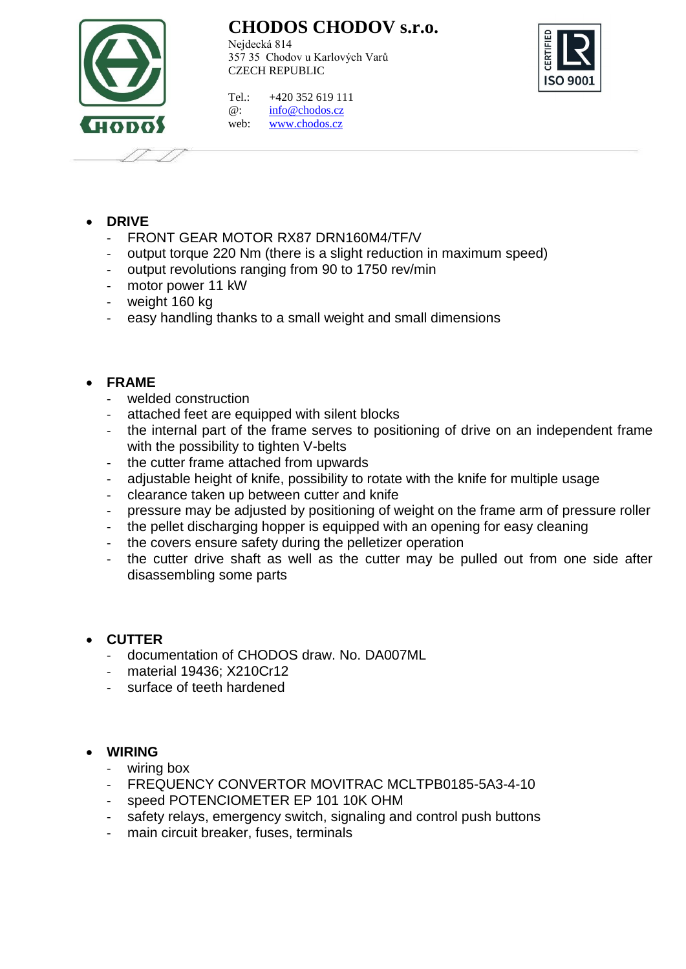

Nejdecká 814 357 35 Chodov u Karlových Varů CZECH REPUBLIC



Tel.: +420 352 619 111 @: [info@chodos.cz](mailto:info@chodos.cz) web: [www.chodos.cz](http://www.chodos.cz/)

- **DRIVE**
	- FRONT GEAR MOTOR RX87 DRN160M4/TF/V
	- output torque 220 Nm (there is a slight reduction in maximum speed)
	- output revolutions ranging from 90 to 1750 rev/min
	- motor power 11 kW
	- weight 160 kg
	- easy handling thanks to a small weight and small dimensions

#### **FRAME**

- welded construction
- attached feet are equipped with silent blocks
- the internal part of the frame serves to positioning of drive on an independent frame with the possibility to tighten V-belts
- the cutter frame attached from upwards
- adjustable height of knife, possibility to rotate with the knife for multiple usage
- clearance taken up between cutter and knife
- pressure may be adjusted by positioning of weight on the frame arm of pressure roller
- the pellet discharging hopper is equipped with an opening for easy cleaning
- the covers ensure safety during the pelletizer operation
- the cutter drive shaft as well as the cutter may be pulled out from one side after disassembling some parts

#### **CUTTER**

- documentation of CHODOS draw. No. DA007ML
- material 19436; X210Cr12
- surface of teeth hardened

#### **WIRING**

- wiring box
- FREQUENCY CONVERTOR MOVITRAC MCLTPB0185-5A3-4-10
- speed POTENCIOMETER EP 101 10K OHM
- safety relays, emergency switch, signaling and control push buttons
- main circuit breaker, fuses, terminals